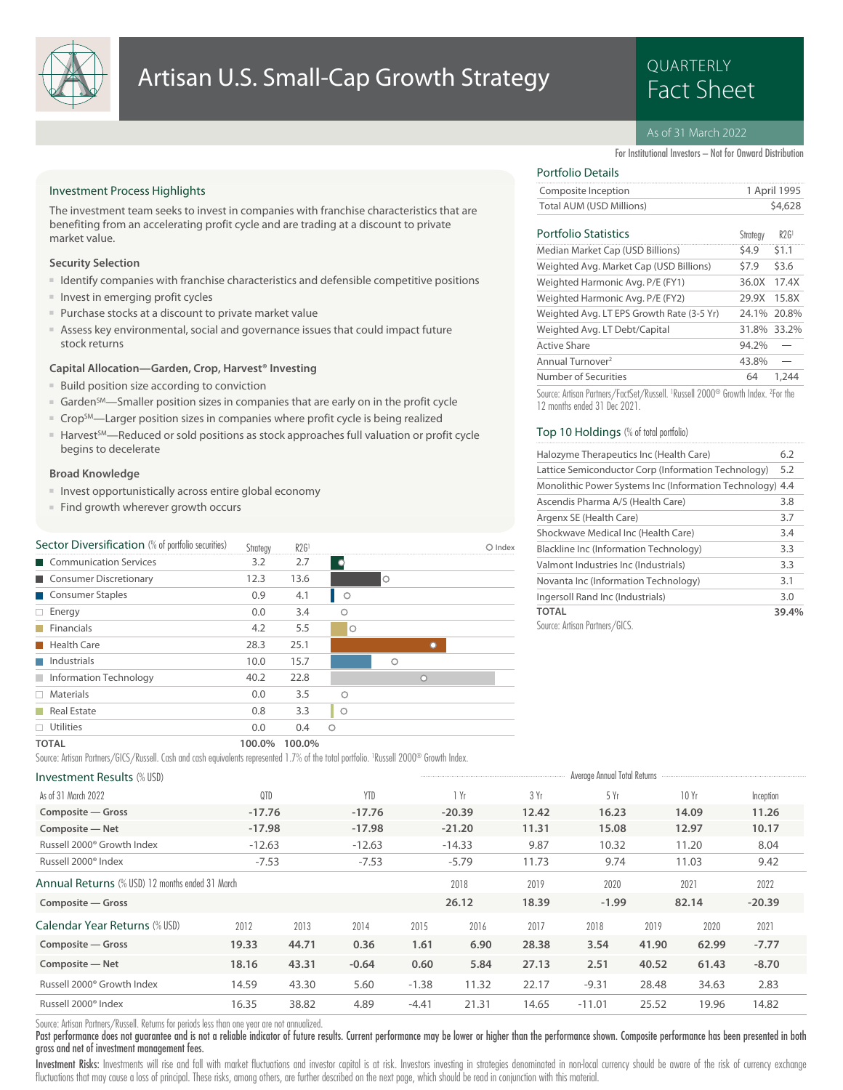

## Artisan U.S. Small-Cap Growth Strategy **Example 20 PRACTERLY**

# QUARTERLY

### As of 31 March 2022

For Institutional Investors – Not for Onward Distribution

### Investment Process Highlights

The investment team seeks to invest in companies with franchise characteristics that are benefiting from an accelerating profit cycle and are trading at a discount to private market value.

### **Security Selection**

- Identify companies with franchise characteristics and defensible competitive positions
- Invest in emerging profit cycles
- Purchase stocks at a discount to private market value
- Assess key environmental, social and governance issues that could impact future stock returns

### **Capital Allocation—Garden, Crop, Harvest® Investing**

- Build position size according to conviction
- Garden<sup>SM</sup>—Smaller position sizes in companies that are early on in the profit cycle
- Crop<sup>SM</sup>—Larger position sizes in companies where profit cycle is being realized
- Harvest<sup>5M</sup>—Reduced or sold positions as stock approaches full valuation or profit cycle begins to decelerate

### **Broad Knowledge**

- Invest opportunistically across entire global economy
- Find growth wherever growth occurs

| Sector Diversification (% of portfolio securities) | Strategy | R2G <sup>1</sup> |            |         |         | O Index |
|----------------------------------------------------|----------|------------------|------------|---------|---------|---------|
| Communication Services                             | 3.2      | 2.7              | <b>O</b>   |         |         |         |
| Consumer Discretionary                             | 12.3     | 13.6             |            | $\circ$ |         |         |
| Consumer Staples                                   | 0.9      | 4.1              | $\circ$    |         |         |         |
| $\Box$ Energy                                      | 0.0      | 3.4              | Ο          |         |         |         |
| <b>Financials</b>                                  | 4.2      | 5.5              | $\circ$    |         |         |         |
| <b>Health Care</b>                                 | 28.3     | 25.1             |            |         |         |         |
| $\blacksquare$ Industrials                         | 10.0     | 15.7             |            | $\circ$ |         |         |
| Information Technology                             | 40.2     | 22.8             |            |         | $\circ$ |         |
| $\Box$ Materials                                   | 0.0      | 3.5              | $\bigcirc$ |         |         |         |
| Real Estate                                        | 0.8      | 3.3              | $\circ$    |         |         |         |
| $\Box$ Utilities                                   | 0.0      | 0.4              | $\circ$    |         |         |         |
| <b>TOTAL</b>                                       | 100.0%   | 100.0%           |            |         |         |         |

Source: Artisan Partners/GICS/Russell. Cash and cash equivalents represented 1.7% of the total portfolio. <sup>1</sup> Russell 2000® Growth Index.

| <b>Investment Results (% USD)</b>               | Average Annual Total Returns |       |            |         |          |       |          |       |       |           |  |
|-------------------------------------------------|------------------------------|-------|------------|---------|----------|-------|----------|-------|-------|-----------|--|
| As of 31 March 2022                             | QTD                          |       | <b>YTD</b> |         | Yr       | 3 Yr  | 5Yr      |       | 10 Yr | Inception |  |
| Composite - Gross                               | $-17.76$                     |       | $-17.76$   |         | $-20.39$ | 12.42 | 16.23    |       | 14.09 | 11.26     |  |
| Composite - Net                                 | $-17.98$                     |       | $-17.98$   |         | $-21.20$ | 11.31 | 15.08    |       | 12.97 | 10.17     |  |
| Russell 2000 <sup>®</sup> Growth Index          | $-12.63$                     |       | $-12.63$   |         | $-14.33$ | 9.87  | 10.32    |       | 11.20 | 8.04      |  |
| Russell 2000 <sup>®</sup> Index                 | $-7.53$                      |       | $-7.53$    |         | $-5.79$  | 11.73 | 9.74     |       | 11.03 | 9.42      |  |
| Annual Returns (% USD) 12 months ended 31 March |                              |       |            |         | 2018     | 2019  | 2020     |       | 2021  | 2022      |  |
| Composite - Gross                               |                              |       |            |         | 26.12    | 18.39 | $-1.99$  |       | 82.14 | $-20.39$  |  |
| Calendar Year Returns (% USD)                   | 2012                         | 2013  | 2014       | 2015    | 2016     | 2017  | 2018     | 2019  | 2020  | 2021      |  |
| Composite - Gross                               | 19.33                        | 44.71 | 0.36       | 1.61    | 6.90     | 28.38 | 3.54     | 41.90 | 62.99 | $-7.77$   |  |
| Composite - Net                                 | 18.16                        | 43.31 | $-0.64$    | 0.60    | 5.84     | 27.13 | 2.51     | 40.52 | 61.43 | $-8.70$   |  |
| Russell 2000 <sup>®</sup> Growth Index          | 14.59                        | 43.30 | 5.60       | $-1.38$ | 11.32    | 22.17 | $-9.31$  | 28.48 | 34.63 | 2.83      |  |
| Russell 2000 <sup>®</sup> Index                 | 16.35                        | 38.82 | 4.89       | $-4.41$ | 21.31    | 14.65 | $-11.01$ | 25.52 | 19.96 | 14.82     |  |

Source: Artisan Partners/Russell. Returns for periods less than one year are not annualized.

Past performance does not guarantee and is not a reliable indicator of future results. Current performance may be lower or higher than the performance shown. Composite performance has been presented in both gross and net of investment management fees.

Investment Risks: Investments will rise and fall with market fluctuations and investor capital is at risk. Investors investing in strategies denominated in non-local currency should be aware of the risk of currency exchang fluctuations that may cause a loss of principal. These risks, among others, are further described on the next page, which should be read in conjunction with this material.

### Portfolio Details

| Composite Inception      | 1 April 1995 |
|--------------------------|--------------|
| Total AUM (USD Millions) | \$4,628      |
|                          |              |

### Portfolio Statistics R2G1 (Figure R2G1)

| Portfolio Statistics                      | Strategy | R2G1        |
|-------------------------------------------|----------|-------------|
| Median Market Cap (USD Billions)          | \$4.9    | \$1.1       |
| Weighted Avg. Market Cap (USD Billions)   | \$7.9    | \$3.6       |
| Weighted Harmonic Avg. P/E (FY1)          | 36.0X    | 17.4X       |
| Weighted Harmonic Avg. P/E (FY2)          | 29.9X    | 15.8X       |
| Weighted Avg. LT EPS Growth Rate (3-5 Yr) |          | 24.1% 20.8% |
| Weighted Avg. LT Debt/Capital             |          | 31.8% 33.2% |
| Active Share                              | 94.2%    |             |
| Annual Turnover <sup>2</sup>              | 43.8%    |             |
| Number of Securities                      | 64       |             |
|                                           |          |             |

Source: Artisan Partners/FactSet/Russell. <sup>1</sup> Russell 2000® Growth Index. <sup>2</sup> For the 12 months ended 31 Dec 2021.

### Top 10 Holdings (% of total portfolio)

| Halozyme Therapeutics Inc (Health Care)               | 6.2   |
|-------------------------------------------------------|-------|
| Lattice Semiconductor Corp (Information Technology)   | 5.2   |
| Monolithic Power Systems Inc (Information Technology) | 4.4   |
| Ascendis Pharma A/S (Health Care)                     | 3.8   |
| Argenx SE (Health Care)                               | 3.7   |
| Shockwave Medical Inc (Health Care)                   | 3.4   |
| Blackline Inc (Information Technology)                | 3.3   |
| Valmont Industries Inc (Industrials)                  | 3.3   |
| Novanta Inc (Information Technology)                  | 3.1   |
| Ingersoll Rand Inc (Industrials)                      | 3.0   |
| <b>TOTAL</b>                                          | 39.4% |
| Source: Artisan Partners/GICS.                        |       |